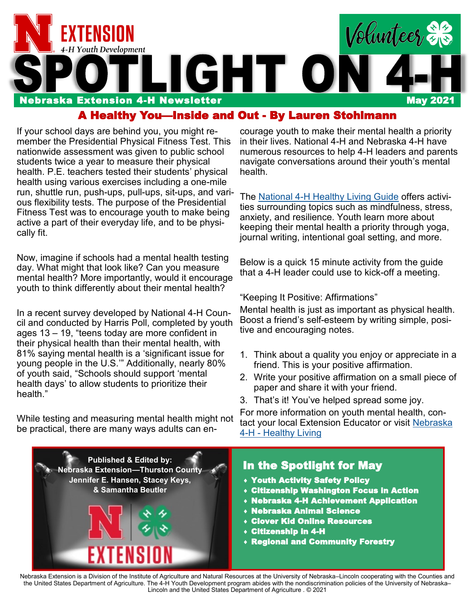

#### A Healthy You—Inside and Out - By Lauren Stohlmann

If your school days are behind you, you might remember the Presidential Physical Fitness Test. This nationwide assessment was given to public school students twice a year to measure their physical health. P.E. teachers tested their students' physical health using various exercises including a one-mile run, shuttle run, push-ups, pull-ups, sit-ups, and various flexibility tests. The purpose of the Presidential Fitness Test was to encourage youth to make being active a part of their everyday life, and to be physically fit.

Now, imagine if schools had a mental health testing day. What might that look like? Can you measure mental health? More importantly, would it encourage youth to think differently about their mental health?

In a recent survey developed by National 4-H Council and conducted by Harris Poll, completed by youth ages 13 – 19, "teens today are more confident in their physical health than their mental health, with 81% saying mental health is a 'significant issue for young people in the U.S.'" Additionally, nearly 80% of youth said, "Schools should support 'mental health days' to allow students to prioritize their health."

While testing and measuring mental health might not be practical, there are many ways adults can en-

courage youth to make their mental health a priority in their lives. National 4-H and Nebraska 4-H have numerous resources to help 4-H leaders and parents navigate conversations around their youth's mental health.

The National 4-[H Healthy Living Guide](http://4-h.org/wp-content/uploads/2019/04/4H-Healthy-Living-Activity-Guide.pdf) offers activities surrounding topics such as mindfulness, stress, anxiety, and resilience. Youth learn more about keeping their mental health a priority through yoga, journal writing, intentional goal setting, and more.

Below is a quick 15 minute activity from the guide that a 4-H leader could use to kick-off a meeting.

"Keeping It Positive: Affirmations"

Mental health is just as important as physical health. Boost a friend's self-esteem by writing simple, positive and encouraging notes.

- 1. Think about a quality you enjoy or appreciate in a friend. This is your positive affirmation.
- 2. Write your positive affirmation on a small piece of paper and share it with your friend.
- 3. That's it! You've helped spread some joy.

For more information on youth mental health, contact your local Extension Educator or visit [Nebraska](https://4h.unl.edu/priorities/healthy-living)  4-H - [Healthy Living](https://4h.unl.edu/priorities/healthy-living)



Nebraska Extension is a Division of the Institute of Agriculture and Natural Resources at the University of Nebraska–Lincoln cooperating with the Counties and the United States Department of Agriculture. The 4-H Youth Development program abides with the nondiscrimination policies of the University of Nebraska– Lincoln and the United States Department of Agriculture . © 2021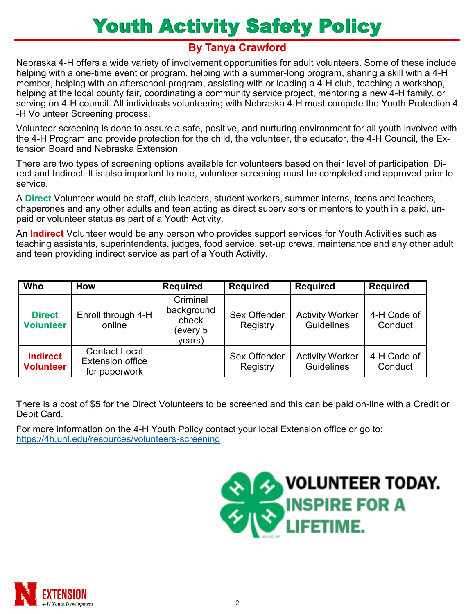# Youth Activity Safety Policy

### **By Tanya Crawford**

Nebraska 4-H offers a wide variety of involvement opportunities for adult volunteers. Some of these include helping with a one-time event or program, helping with a summer-long program, sharing a skill with a 4-H member, helping with an afterschool program, assisting with or leading a 4-H club, teaching a workshop, helping at the local county fair, coordinating a community service project, mentoring a new 4-H family, or serving on 4-H council. All individuals volunteering with Nebraska 4-H must compete the Youth Protection 4 -H Volunteer Screening process.

Volunteer screening is done to assure a safe, positive, and nurturing environment for all youth involved with the 4-H Program and provide protection for the child, the volunteer, the educator, the 4-H Council, the Extension Board and Nebraska Extension

There are two types of screening options available for volunteers based on their level of participation, Direct and Indirect. It is also important to note, volunteer screening must be completed and approved prior to service.

A **Direct** Volunteer would be staff, club leaders, student workers, summer interns, teens and teachers, chaperones and any other adults and teen acting as direct supervisors or mentors to youth in a paid, unpaid or volunteer status as part of a Youth Activity.

An **Indirect** Volunteer would be any person who provides support services for Youth Activities such as teaching assistants, superintendents, judges, food service, set-up crews, maintenance and any other adult and teen providing indirect service as part of a Youth Activity.

| Who                                 | <b>How</b>                                                       | <b>Required</b>                                       | <b>Required</b>          | <b>Required</b>                             | <b>Required</b>        |
|-------------------------------------|------------------------------------------------------------------|-------------------------------------------------------|--------------------------|---------------------------------------------|------------------------|
| <b>Direct</b><br><b>Volunteer</b>   | Enroll through 4-H<br>online                                     | Criminal<br>background<br>check<br>every 5)<br>years) | Sex Offender<br>Registry | <b>Activity Worker</b><br>Guidelines        | 4-H Code of<br>Conduct |
| <b>Indirect</b><br><b>Volunteer</b> | <b>Contact Local</b><br><b>Extension office</b><br>for paperwork |                                                       | Sex Offender<br>Registry | <b>Activity Worker</b><br><b>Guidelines</b> | 4-H Code of<br>Conduct |

There is a cost of \$5 for the Direct Volunteers to be screened and this can be paid on-line with a Credit or Debit Card.

For more information on the 4-H Youth Policy contact your local Extension office or go to: [https://4h.unl.edu/resources/volunteers](https://4h.unl.edu/resources/volunteers-screening)-screening



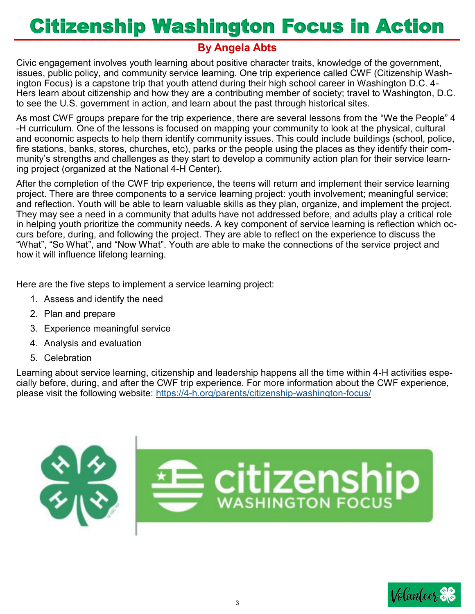# Citizenship Washington Focus in Action

### **By Angela Abts**

Civic engagement involves youth learning about positive character traits, knowledge of the government, issues, public policy, and community service learning. One trip experience called CWF (Citizenship Washington Focus) is a capstone trip that youth attend during their high school career in Washington D.C. 4- Hers learn about citizenship and how they are a contributing member of society; travel to Washington, D.C. to see the U.S. government in action, and learn about the past through historical sites.

As most CWF groups prepare for the trip experience, there are several lessons from the "We the People" 4 -H curriculum. One of the lessons is focused on mapping your community to look at the physical, cultural and economic aspects to help them identify community issues. This could include buildings (school, police, fire stations, banks, stores, churches, etc), parks or the people using the places as they identify their community's strengths and challenges as they start to develop a community action plan for their service learning project (organized at the National 4-H Center).

After the completion of the CWF trip experience, the teens will return and implement their service learning project. There are three components to a service learning project: youth involvement; meaningful service; and reflection. Youth will be able to learn valuable skills as they plan, organize, and implement the project. They may see a need in a community that adults have not addressed before, and adults play a critical role in helping youth prioritize the community needs. A key component of service learning is reflection which occurs before, during, and following the project. They are able to reflect on the experience to discuss the "What", "So What", and "Now What". Youth are able to make the connections of the service project and how it will influence lifelong learning.

Here are the five steps to implement a service learning project:

- 1. Assess and identify the need
- 2. Plan and prepare
- 3. Experience meaningful service
- 4. Analysis and evaluation
- 5. Celebration

Learning about service learning, citizenship and leadership happens all the time within 4-H activities especially before, during, and after the CWF trip experience. For more information about the CWF experience, please visit the following website: https://4-[h.org/parents/citizenship](https://4-h.org/parents/citizenship-washington-focus/)-washington-focus/



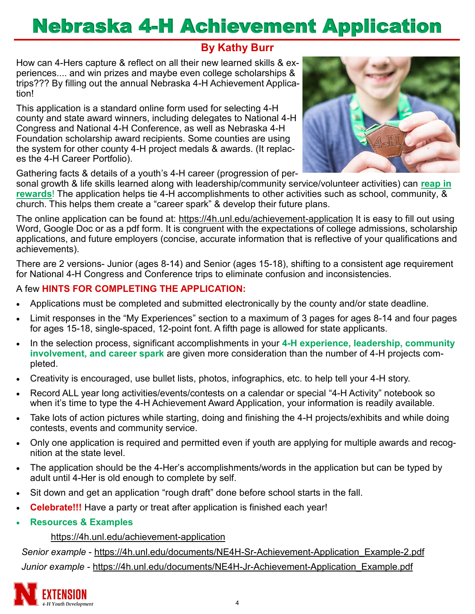# Nebraska 4-H Achievement Application

### **By Kathy Burr**

How can 4-Hers capture & reflect on all their new learned skills & experiences.... and win prizes and maybe even college scholarships & trips??? By filling out the annual Nebraska 4-H Achievement Application!

This application is a standard online form used for selecting 4-H county and state award winners, including delegates to National 4-H Congress and National 4-H Conference, as well as Nebraska 4-H Foundation scholarship award recipients. Some counties are using the system for other county 4-H project medals & awards. (It replaces the 4-H Career Portfolio).



Gathering facts & details of a youth's 4-H career (progression of per-

sonal growth & life skills learned along with leadership/community service/volunteer activities) can **reap in rewards**! The application helps tie 4-H accomplishments to other activities such as school, community, & church. This helps them create a "career spark" & develop their future plans.

The online application can be found at: [https://4h.unl.edu/achievement](https://4h.unl.edu/achievement-application)-application It is easy to fill out using Word, Google Doc or as a pdf form. It is congruent with the expectations of college admissions, scholarship applications, and future employers (concise, accurate information that is reflective of your qualifications and achievements).

There are 2 versions- Junior (ages 8-14) and Senior (ages 15-18), shifting to a consistent age requirement for National 4-H Congress and Conference trips to eliminate confusion and inconsistencies.

#### A few **HINTS FOR COMPLETING THE APPLICATION:**

- Applications must be completed and submitted electronically by the county and/or state deadline.
- Limit responses in the "My Experiences" section to a maximum of 3 pages for ages 8-14 and four pages for ages 15-18, single-spaced, 12-point font. A fifth page is allowed for state applicants.
- In the selection process, significant accomplishments in your **4-H experience, leadership, community involvement, and career spark** are given more consideration than the number of 4-H projects completed.
- Creativity is encouraged, use bullet lists, photos, infographics, etc. to help tell your 4-H story.
- Record ALL year long activities/events/contests on a calendar or special "4-H Activity" notebook so when it's time to type the 4-H Achievement Award Application, your information is readily available.
- Take lots of action pictures while starting, doing and finishing the 4-H projects/exhibits and while doing contests, events and community service.
- Only one application is required and permitted even if youth are applying for multiple awards and recognition at the state level.
- The application should be the 4-Her's accomplishments/words in the application but can be typed by adult until 4-Her is old enough to complete by self.
- Sit down and get an application "rough draft" done before school starts in the fall.
- **Celebrate!!!** Have a party or treat after application is finished each year!
- **Resources & Examples**

#### [https://4h.unl.edu/achievement](https://4h.unl.edu/achievement-application)-application

 *Senior example* - [https://4h.unl.edu/documents/NE4H](https://4h.unl.edu/documents/NE4H-Sr-Achievement-Application_Example-2.pdf)-Sr-Achievement-Application\_Example-2.pdf *Junior example* - [https://4h.unl.edu/documents/NE4H](https://4h.unl.edu/documents/NE4H-Jr-Achievement-Application_Example.pdf)-Jr-Achievement-Application\_Example.pdf

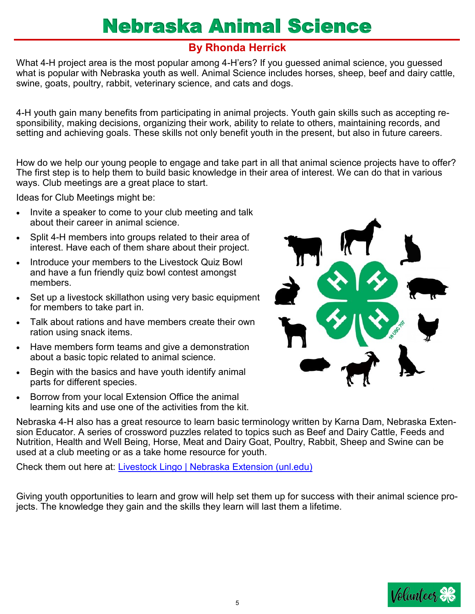# Nebraska Animal Science

### **By Rhonda Herrick**

What 4-H project area is the most popular among 4-H'ers? If you guessed animal science, you guessed what is popular with Nebraska youth as well. Animal Science includes horses, sheep, beef and dairy cattle, swine, goats, poultry, rabbit, veterinary science, and cats and dogs.

4-H youth gain many benefits from participating in animal projects. Youth gain skills such as accepting responsibility, making decisions, organizing their work, ability to relate to others, maintaining records, and setting and achieving goals. These skills not only benefit youth in the present, but also in future careers.

How do we help our young people to engage and take part in all that animal science projects have to offer? The first step is to help them to build basic knowledge in their area of interest. We can do that in various ways. Club meetings are a great place to start.

Ideas for Club Meetings might be:

- Invite a speaker to come to your club meeting and talk about their career in animal science.
- Split 4-H members into groups related to their area of interest. Have each of them share about their project.
- Introduce your members to the Livestock Quiz Bowl and have a fun friendly quiz bowl contest amongst members.
- Set up a livestock skillathon using very basic equipment for members to take part in.
- Talk about rations and have members create their own ration using snack items.
- Have members form teams and give a demonstration about a basic topic related to animal science.
- Begin with the basics and have youth identify animal parts for different species.
- Borrow from your local Extension Office the animal learning kits and use one of the activities from the kit.

Nebraska 4-H also has a great resource to learn basic terminology written by Karna Dam, Nebraska Extension Educator. A series of crossword puzzles related to topics such as Beef and Dairy Cattle, Feeds and Nutrition, Health and Well Being, Horse, Meat and Dairy Goat, Poultry, Rabbit, Sheep and Swine can be used at a club meeting or as a take home resource for youth.

Check them out here at: [Livestock Lingo | Nebraska Extension \(unl.edu\)](https://extension.unl.edu/statewide/dodge/livestock-lingo/)

Giving youth opportunities to learn and grow will help set them up for success with their animal science projects. The knowledge they gain and the skills they learn will last them a lifetime.



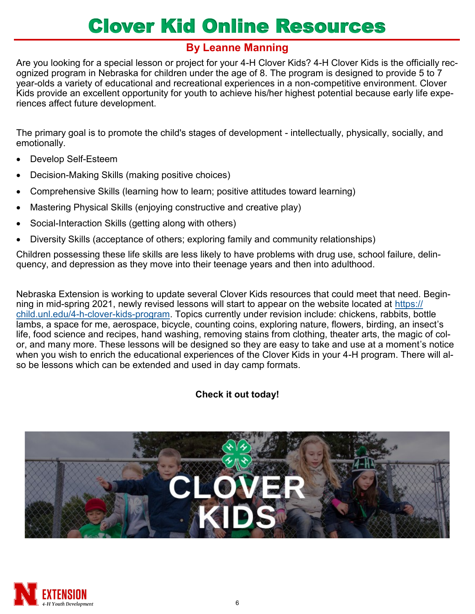# Clover Kid Online Resources

### **By Leanne Manning**

Are you looking for a special lesson or project for your 4-H Clover Kids? 4-H Clover Kids is the officially recognized program in Nebraska for children under the age of 8. The program is designed to provide 5 to 7 year-olds a variety of educational and recreational experiences in a non-competitive environment. Clover Kids provide an excellent opportunity for youth to achieve his/her highest potential because early life experiences affect future development.

The primary goal is to promote the child's stages of development - intellectually, physically, socially, and emotionally.

- Develop Self-Esteem
- Decision-Making Skills (making positive choices)
- Comprehensive Skills (learning how to learn; positive attitudes toward learning)
- Mastering Physical Skills (enjoying constructive and creative play)
- Social-Interaction Skills (getting along with others)
- Diversity Skills (acceptance of others; exploring family and community relationships)

Children possessing these life skills are less likely to have problems with drug use, school failure, delinquency, and depression as they move into their teenage years and then into adulthood.

Nebraska Extension is working to update several Clover Kids resources that could meet that need. Beginning in mid-spring 2021, newly revised lessons will start to appear on the website located at [https://](https://child.unl.edu/4-h-clover-kids-program) [child.unl.edu/4](https://child.unl.edu/4-h-clover-kids-program)-h-clover-kids-program. Topics currently under revision include: chickens, rabbits, bottle lambs, a space for me, aerospace, bicycle, counting coins, exploring nature, flowers, birding, an insect's life, food science and recipes, hand washing, removing stains from clothing, theater arts, the magic of color, and many more. These lessons will be designed so they are easy to take and use at a moment's notice when you wish to enrich the educational experiences of the Clover Kids in your 4-H program. There will also be lessons which can be extended and used in day camp formats.

#### **Check it out today!**



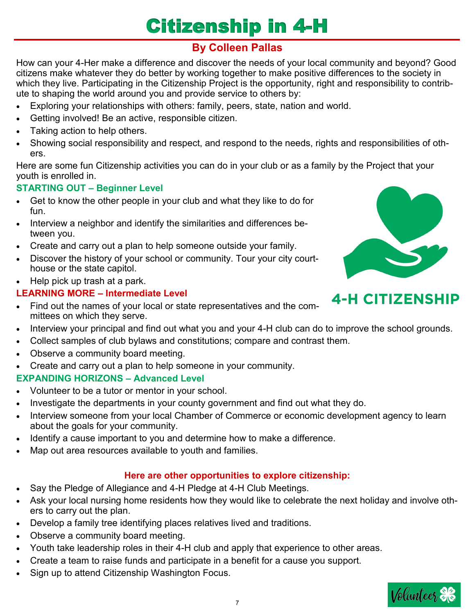# Citizenship in 4-H

## **By Colleen Pallas**

How can your 4-Her make a difference and discover the needs of your local community and beyond? Good citizens make whatever they do better by working together to make positive differences to the society in which they live. Participating in the Citizenship Project is the opportunity, right and responsibility to contribute to shaping the world around you and provide service to others by:

- Exploring your relationships with others: family, peers, state, nation and world.
- Getting involved! Be an active, responsible citizen.
- Taking action to help others.
- Showing social responsibility and respect, and respond to the needs, rights and responsibilities of others.

Here are some fun Citizenship activities you can do in your club or as a family by the Project that your youth is enrolled in.

#### **STARTING OUT – Beginner Level**

- Get to know the other people in your club and what they like to do for fun.
- Interview a neighbor and identify the similarities and differences between you.
- Create and carry out a plan to help someone outside your family.
- Discover the history of your school or community. Tour your city courthouse or the state capitol.
- Help pick up trash at a park.

#### **LEARNING MORE – Intermediate Level**

• Find out the names of your local or state representatives and the committees on which they serve.



- Collect samples of club bylaws and constitutions; compare and contrast them.
- Observe a community board meeting.
- Create and carry out a plan to help someone in your community.

#### **EXPANDING HORIZONS – Advanced Level**

- Volunteer to be a tutor or mentor in your school.
- Investigate the departments in your county government and find out what they do.
- Interview someone from your local Chamber of Commerce or economic development agency to learn about the goals for your community.
- Identify a cause important to you and determine how to make a difference.
- Map out area resources available to youth and families.

#### **Here are other opportunities to explore citizenship:**

- Say the Pledge of Allegiance and 4-H Pledge at 4-H Club Meetings.
- Ask your local nursing home residents how they would like to celebrate the next holiday and involve others to carry out the plan.
- Develop a family tree identifying places relatives lived and traditions.
- Observe a community board meeting.
- Youth take leadership roles in their 4-H club and apply that experience to other areas.
- Create a team to raise funds and participate in a benefit for a cause you support.
- Sign up to attend Citizenship Washington Focus.



# **4-H CITIZENSHIP**